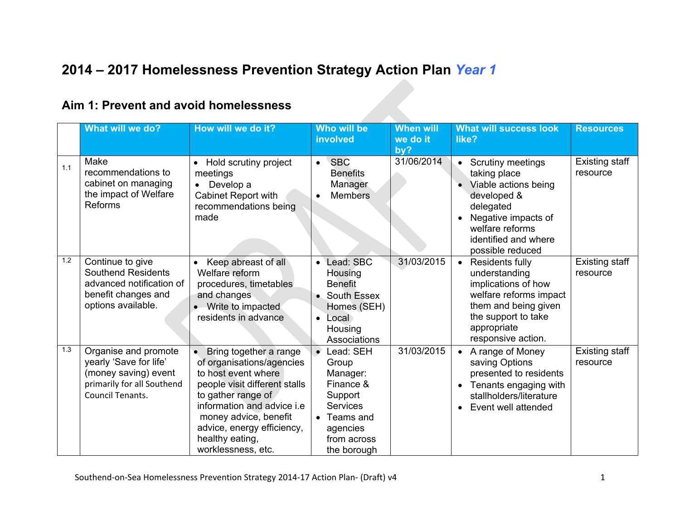# **2014 – 2017 Homelessness Prevention Strategy Action Plan** *Year 1*

#### **Aim 1: Prevent and avoid homelessness**

|     | What will we do?                                                                                                                | How will we do it?                                                                                                                                                                                                                                              | Who will be<br>involved                                                                                                            | <b>When will</b><br>we do it<br>by? | <b>What will success look</b><br>like?                                                                                                                                             | <b>Resources</b>           |
|-----|---------------------------------------------------------------------------------------------------------------------------------|-----------------------------------------------------------------------------------------------------------------------------------------------------------------------------------------------------------------------------------------------------------------|------------------------------------------------------------------------------------------------------------------------------------|-------------------------------------|------------------------------------------------------------------------------------------------------------------------------------------------------------------------------------|----------------------------|
| 1.1 | Make<br>recommendations to<br>cabinet on managing<br>the impact of Welfare<br><b>Reforms</b>                                    | Hold scrutiny project<br>meetings<br>Develop a<br>$\bullet$<br><b>Cabinet Report with</b><br>recommendations being<br>made                                                                                                                                      | <b>SBC</b><br>$\bullet$<br><b>Benefits</b><br>Manager<br><b>Members</b>                                                            | 31/06/2014                          | <b>Scrutiny meetings</b><br>taking place<br>Viable actions being<br>developed &<br>delegated<br>Negative impacts of<br>welfare reforms<br>identified and where<br>possible reduced | Existing staff<br>resource |
| 1.2 | Continue to give<br><b>Southend Residents</b><br>advanced notification of<br>benefit changes and<br>options available.          | Keep abreast of all<br>Welfare reform<br>procedures, timetables<br>and changes<br>• Write to impacted<br>residents in advance                                                                                                                                   | Lead: SBC<br>$\bullet$<br>Housing<br><b>Benefit</b><br>South Essex<br>Homes (SEH)<br>Local<br>$\bullet$<br>Housing<br>Associations | 31/03/2015                          | Residents fully<br>understanding<br>implications of how<br>welfare reforms impact<br>them and being given<br>the support to take<br>appropriate<br>responsive action.              | Existing staff<br>resource |
| 1.3 | Organise and promote<br>yearly 'Save for life'<br>(money saving) event<br>primarily for all Southend<br><b>Council Tenants.</b> | Bring together a range<br>of organisations/agencies<br>to host event where<br>people visit different stalls<br>to gather range of<br>information and advice i.e<br>money advice, benefit<br>advice, energy efficiency,<br>healthy eating,<br>worklessness, etc. | Lead: SEH<br>Group<br>Manager:<br>Finance &<br>Support<br><b>Services</b><br>Teams and<br>agencies<br>from across<br>the borough   | 31/03/2015                          | A range of Money<br>saving Options<br>presented to residents<br>Tenants engaging with<br>stallholders/literature<br>Event well attended                                            | Existing staff<br>resource |

Southend-on-Sea Homelessness Prevention Strategy 2014-17 Action Plan- (Draft) v4 1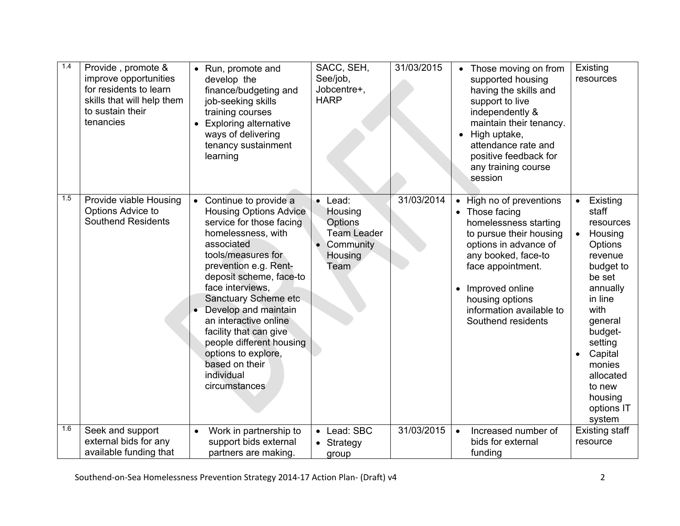| 1.4 | Provide, promote &<br>improve opportunities<br>for residents to learn<br>skills that will help them<br>to sustain their<br>tenancies | • Run, promote and<br>develop the<br>finance/budgeting and<br>job-seeking skills<br>training courses<br>• Exploring alternative<br>ways of delivering<br>tenancy sustainment<br>learning                                                                                                                                                                                                                                      | SACC, SEH,<br>See/job,<br>Jobcentre+,<br><b>HARP</b>                                            | 31/03/2015 | • Those moving on from<br>supported housing<br>having the skills and<br>support to live<br>independently &<br>maintain their tenancy.<br>• High uptake,<br>attendance rate and<br>positive feedback for<br>any training course<br>session                              | Existing<br>resources                                                                                                                                                                                                                              |
|-----|--------------------------------------------------------------------------------------------------------------------------------------|-------------------------------------------------------------------------------------------------------------------------------------------------------------------------------------------------------------------------------------------------------------------------------------------------------------------------------------------------------------------------------------------------------------------------------|-------------------------------------------------------------------------------------------------|------------|------------------------------------------------------------------------------------------------------------------------------------------------------------------------------------------------------------------------------------------------------------------------|----------------------------------------------------------------------------------------------------------------------------------------------------------------------------------------------------------------------------------------------------|
| 1.5 | Provide viable Housing<br>Options Advice to<br><b>Southend Residents</b>                                                             | • Continue to provide a<br><b>Housing Options Advice</b><br>service for those facing<br>homelessness, with<br>associated<br>tools/measures for<br>prevention e.g. Rent-<br>deposit scheme, face-to<br>face interviews.<br>Sanctuary Scheme etc<br>Develop and maintain<br>an interactive online<br>facility that can give<br>people different housing<br>options to explore,<br>based on their<br>individual<br>circumstances | Lead:<br>Housing<br>Options<br><b>Team Leader</b><br>Community<br><b>Housing</b><br><b>Team</b> | 31/03/2014 | High no of preventions<br>$\bullet$<br>• Those facing<br>homelessness starting<br>to pursue their housing<br>options in advance of<br>any booked, face-to<br>face appointment.<br>Improved online<br>housing options<br>information available to<br>Southend residents | Existing<br>staff<br>resources<br>Housing<br>$\bullet$<br>Options<br>revenue<br>budget to<br>be set<br>annually<br>in line<br>with<br>general<br>budget-<br>setting<br>Capital<br>monies<br>allocated<br>to new<br>housing<br>options IT<br>system |
| 1.6 | Seek and support<br>external bids for any<br>available funding that                                                                  | Work in partnership to<br>$\bullet$<br>support bids external<br>partners are making.                                                                                                                                                                                                                                                                                                                                          | Lead: SBC<br>$\bullet$<br>• Strategy<br>group                                                   | 31/03/2015 | Increased number of<br>$\bullet$<br>bids for external<br>funding                                                                                                                                                                                                       | <b>Existing staff</b><br>resource                                                                                                                                                                                                                  |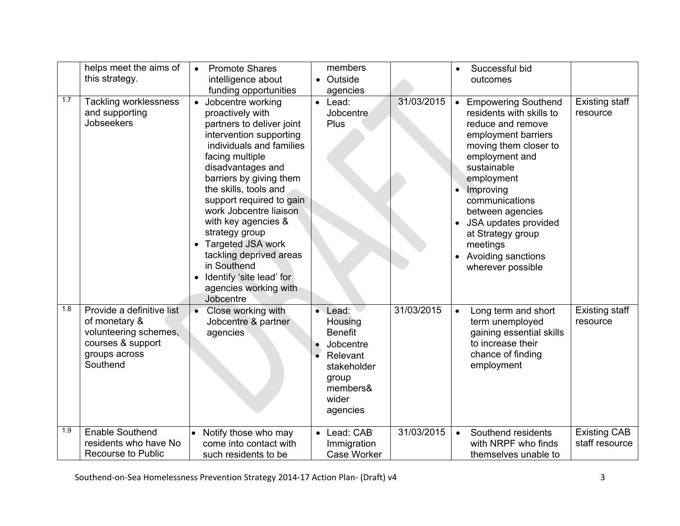|     | helps meet the aims of<br>this strategy.                                                                              | <b>Promote Shares</b><br>$\bullet$<br>intelligence about<br>funding opportunities                                                                                                                                                                                                                                                                                                                                                                                |                        | members<br>• Outside<br>agencies                                                                                     |            | Successful bid<br>$\bullet$<br>outcomes                                                                                                                                                                                                                                                                                                                                                                                    |
|-----|-----------------------------------------------------------------------------------------------------------------------|------------------------------------------------------------------------------------------------------------------------------------------------------------------------------------------------------------------------------------------------------------------------------------------------------------------------------------------------------------------------------------------------------------------------------------------------------------------|------------------------|----------------------------------------------------------------------------------------------------------------------|------------|----------------------------------------------------------------------------------------------------------------------------------------------------------------------------------------------------------------------------------------------------------------------------------------------------------------------------------------------------------------------------------------------------------------------------|
| 1.7 | <b>Tackling worklessness</b><br>and supporting<br>Jobseekers                                                          | • Jobcentre working<br>proactively with<br>partners to deliver joint<br>intervention supporting<br>individuals and families<br>facing multiple<br>disadvantages and<br>barriers by giving them<br>the skills, tools and<br>support required to gain<br>work Jobcentre liaison<br>with key agencies &<br>strategy group<br><b>Targeted JSA work</b><br>tackling deprived areas<br>in Southend<br>• Identify 'site lead' for<br>agencies working with<br>Jobcentre |                        | $\bullet$ Lead:<br>Jobcentre<br>Plus                                                                                 | 31/03/2015 | <b>Existing staff</b><br><b>Empowering Southend</b><br>$\bullet$<br>residents with skills to<br>resource<br>reduce and remove<br>employment barriers<br>moving them closer to<br>employment and<br>sustainable<br>employment<br>Improving<br>$\bullet$<br>communications<br>between agencies<br>JSA updates provided<br>$\bullet$<br>at Strategy group<br>meetings<br>Avoiding sanctions<br>$\bullet$<br>wherever possible |
| 1.8 | Provide a definitive list<br>of monetary &<br>volunteering schemes,<br>courses & support<br>groups across<br>Southend | • Close working with<br>Jobcentre & partner<br>agencies                                                                                                                                                                                                                                                                                                                                                                                                          | $\bullet$<br>$\bullet$ | Lead:<br>Housing<br><b>Benefit</b><br>Jobcentre<br>Relevant<br>stakeholder<br>group<br>members&<br>wider<br>agencies | 31/03/2015 | <b>Existing staff</b><br>Long term and short<br>$\bullet$<br>term unemployed<br>resource<br>gaining essential skills<br>to increase their<br>chance of finding<br>employment                                                                                                                                                                                                                                               |
| 1.9 | <b>Enable Southend</b><br>residents who have No<br><b>Recourse to Public</b>                                          | Notify those who may<br>come into contact with<br>such residents to be                                                                                                                                                                                                                                                                                                                                                                                           |                        | Lead: CAB<br>Immigration<br>Case Worker                                                                              | 31/03/2015 | <b>Existing CAB</b><br>Southend residents<br>$\bullet$<br>staff resource<br>with NRPF who finds<br>themselves unable to                                                                                                                                                                                                                                                                                                    |

Southend-on-Sea Homelessness Prevention Strategy 2014-17 Action Plan- (Draft) v4 3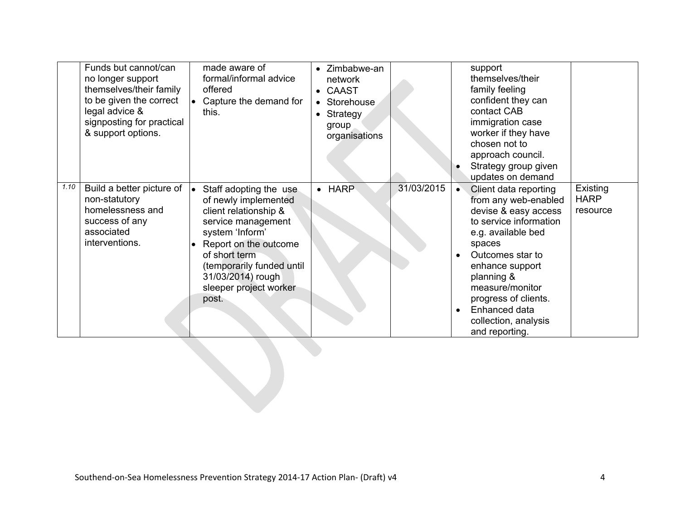|      | Funds but cannot/can<br>no longer support<br>themselves/their family<br>to be given the correct<br>legal advice &<br>signposting for practical<br>& support options. | made aware of<br>formal/informal advice<br>offered<br>Capture the demand for<br>this.                                                                                                                                                           | Zimbabwe-an<br>network<br>• CAAST<br>Storehouse<br>Strategy<br>$\bullet$<br>group<br>organisations |            | support<br>themselves/their<br>family feeling<br>confident they can<br>contact CAB<br>immigration case<br>worker if they have<br>chosen not to<br>approach council.<br>Strategy group given<br>updates on demand                                                                           |                                     |
|------|----------------------------------------------------------------------------------------------------------------------------------------------------------------------|-------------------------------------------------------------------------------------------------------------------------------------------------------------------------------------------------------------------------------------------------|----------------------------------------------------------------------------------------------------|------------|--------------------------------------------------------------------------------------------------------------------------------------------------------------------------------------------------------------------------------------------------------------------------------------------|-------------------------------------|
| 1.10 | Build a better picture of<br>non-statutory<br>homelessness and<br>success of any<br>associated<br>interventions.                                                     | Staff adopting the use<br>of newly implemented<br>client relationship &<br>service management<br>system 'Inform'<br>Report on the outcome<br>of short term<br>(temporarily funded until<br>31/03/2014) rough<br>sleeper project worker<br>post. | $\bullet$ HARP                                                                                     | 31/03/2015 | Client data reporting<br>from any web-enabled<br>devise & easy access<br>to service information<br>e.g. available bed<br>spaces<br>Outcomes star to<br>enhance support<br>planning &<br>measure/monitor<br>progress of clients.<br>Enhanced data<br>collection, analysis<br>and reporting. | Existing<br><b>HARP</b><br>resource |
|      |                                                                                                                                                                      |                                                                                                                                                                                                                                                 |                                                                                                    |            |                                                                                                                                                                                                                                                                                            |                                     |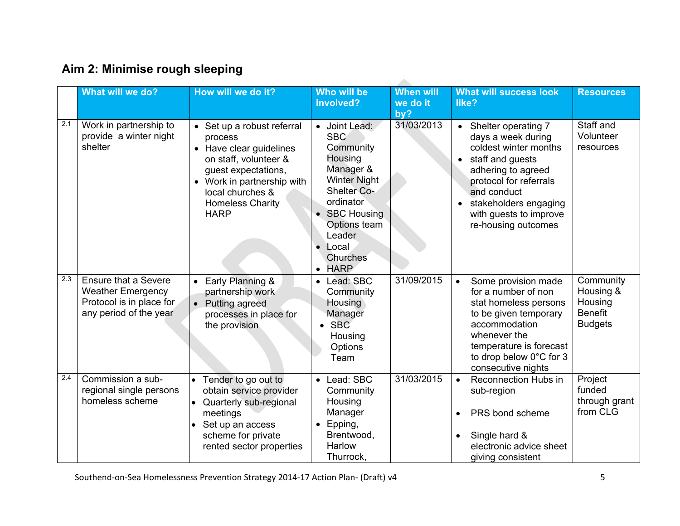|     | What will we do?                                                                                              | How will we do it?                                                                                                                                                                                           | Who will be<br>involved?                                                                                                                                                                                  | <b>When will</b><br>we do it<br>by? | <b>What will success look</b><br>like?                                                                                                                                                                                          | <b>Resources</b>                                                      |
|-----|---------------------------------------------------------------------------------------------------------------|--------------------------------------------------------------------------------------------------------------------------------------------------------------------------------------------------------------|-----------------------------------------------------------------------------------------------------------------------------------------------------------------------------------------------------------|-------------------------------------|---------------------------------------------------------------------------------------------------------------------------------------------------------------------------------------------------------------------------------|-----------------------------------------------------------------------|
| 2.1 | Work in partnership to<br>provide a winter night<br>shelter                                                   | • Set up a robust referral<br>process<br>• Have clear guidelines<br>on staff, volunteer &<br>guest expectations,<br>• Work in partnership with<br>local churches &<br><b>Homeless Charity</b><br><b>HARP</b> | • Joint Lead:<br><b>SBC</b><br>Community<br>Housing<br>Manager &<br><b>Winter Night</b><br><b>Shelter Co-</b><br>ordinator<br>• SBC Housing<br>Options team<br>Leader<br>Local<br>Churches<br><b>HARP</b> | 31/03/2013                          | Shelter operating 7<br>days a week during<br>coldest winter months<br>staff and guests<br>adhering to agreed<br>protocol for referrals<br>and conduct<br>stakeholders engaging<br>with guests to improve<br>re-housing outcomes | Staff and<br>Volunteer<br>resources                                   |
| 2.3 | <b>Ensure that a Severe</b><br><b>Weather Emergency</b><br>Protocol is in place for<br>any period of the year | Early Planning &<br>partnership work<br>• Putting agreed<br>processes in place for<br>the provision                                                                                                          | Lead: SBC<br>$\bullet$<br>Community<br><b>Housing</b><br>Manager<br><b>SBC</b><br>Housing<br>Options<br>Team                                                                                              | 31/09/2015                          | Some provision made<br>$\bullet$<br>for a number of non<br>stat homeless persons<br>to be given temporary<br>accommodation<br>whenever the<br>temperature is forecast<br>to drop below 0°C for 3<br>consecutive nights          | Community<br>Housing &<br>Housing<br><b>Benefit</b><br><b>Budgets</b> |
| 2.4 | Commission a sub-<br>regional single persons<br>homeless scheme                                               | Tender to go out to<br>obtain service provider<br>Quarterly sub-regional<br>meetings<br>Set up an access<br>scheme for private<br>rented sector properties                                                   | Lead: SBC<br>$\bullet$<br>Community<br>Housing<br>Manager<br>Epping,<br>Brentwood,<br>Harlow<br>Thurrock,                                                                                                 | 31/03/2015                          | Reconnection Hubs in<br>$\bullet$<br>sub-region<br>PRS bond scheme<br>$\bullet$<br>Single hard &<br>$\bullet$<br>electronic advice sheet<br>giving consistent                                                                   | Project<br>funded<br>through grant<br>from CLG                        |

Southend-on-Sea Homelessness Prevention Strategy 2014-17 Action Plan- (Draft) v4 5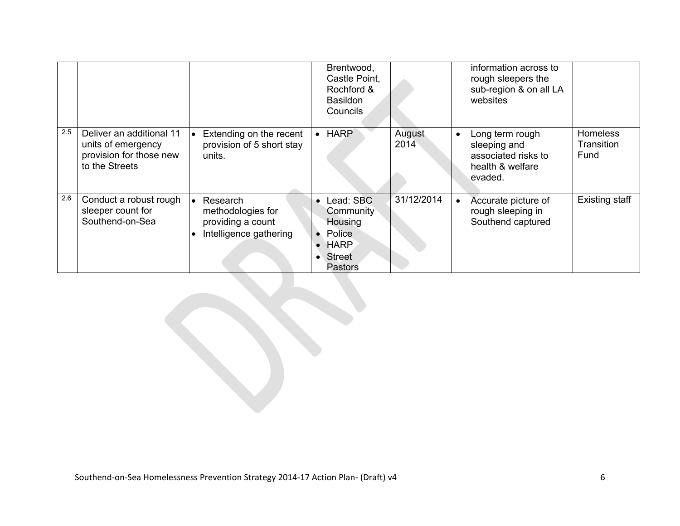|     |                                                                                             |                                                                              | Brentwood,<br>Castle Point,<br>Rochford &<br><b>Basildon</b><br>Councils                     |                | information across to<br>rough sleepers the<br>sub-region & on all LA<br>websites                  |                                       |
|-----|---------------------------------------------------------------------------------------------|------------------------------------------------------------------------------|----------------------------------------------------------------------------------------------|----------------|----------------------------------------------------------------------------------------------------|---------------------------------------|
| 2.5 | Deliver an additional 11<br>units of emergency<br>provision for those new<br>to the Streets | Extending on the recent<br>provision of 5 short stay<br>units.               | <b>HARP</b><br>$\bullet$                                                                     | August<br>2014 | Long term rough<br>$\bullet$<br>sleeping and<br>associated risks to<br>health & welfare<br>evaded. | <b>Homeless</b><br>Transition<br>Fund |
| 2.6 | Conduct a robust rough<br>sleeper count for<br>Southend-on-Sea                              | Research<br>methodologies for<br>providing a count<br>Intelligence gathering | Lead: SBC<br>Community<br>Housing<br>Police<br><b>HARP</b><br>Street<br>$\bullet$<br>Pastors | 31/12/2014     | Accurate picture of<br>rough sleeping in<br>Southend captured                                      | <b>Existing staff</b>                 |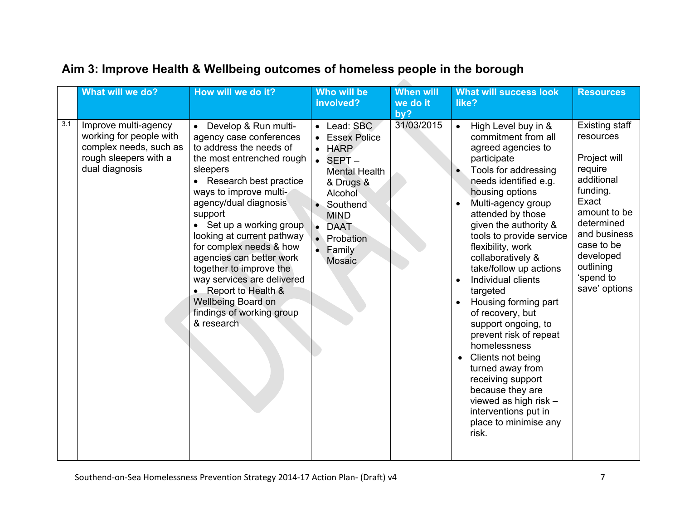|     | What will we do?                                                                                                     | How will we do it?                                                                                                                                                                                                                                                                                                                                                                                                                                                             | Who will be<br>involved?                                                                                                                                                                                             | <b>When will</b><br>we do it<br>by? | <b>What will success look</b><br>like?                                                                                                                                                                                                                                                                                                                                                                                                                                                                                                                                                                                                                   | <b>Resources</b>                                                                                                                                                                                              |
|-----|----------------------------------------------------------------------------------------------------------------------|--------------------------------------------------------------------------------------------------------------------------------------------------------------------------------------------------------------------------------------------------------------------------------------------------------------------------------------------------------------------------------------------------------------------------------------------------------------------------------|----------------------------------------------------------------------------------------------------------------------------------------------------------------------------------------------------------------------|-------------------------------------|----------------------------------------------------------------------------------------------------------------------------------------------------------------------------------------------------------------------------------------------------------------------------------------------------------------------------------------------------------------------------------------------------------------------------------------------------------------------------------------------------------------------------------------------------------------------------------------------------------------------------------------------------------|---------------------------------------------------------------------------------------------------------------------------------------------------------------------------------------------------------------|
| 3.1 | Improve multi-agency<br>working for people with<br>complex needs, such as<br>rough sleepers with a<br>dual diagnosis | Develop & Run multi-<br>agency case conferences<br>to address the needs of<br>the most entrenched rough<br>sleepers<br>Research best practice<br>ways to improve multi-<br>agency/dual diagnosis<br>support<br>• Set up a working group<br>looking at current pathway<br>for complex needs & how<br>agencies can better work<br>together to improve the<br>way services are delivered<br>• Report to Health &<br>Wellbeing Board on<br>findings of working group<br>& research | Lead: SBC<br>$\bullet$<br><b>Essex Police</b><br><b>HARP</b><br>SEPT-<br><b>Mental Health</b><br>& Drugs &<br>Alcohol<br>Southend<br><b>MIND</b><br><b>DAAT</b><br>$\bullet$<br>Probation<br>Family<br><b>Mosaic</b> | 31/03/2015                          | High Level buy in &<br>$\bullet$<br>commitment from all<br>agreed agencies to<br>participate<br>Tools for addressing<br>needs identified e.g.<br>housing options<br>Multi-agency group<br>attended by those<br>given the authority &<br>tools to provide service<br>flexibility, work<br>collaboratively &<br>take/follow up actions<br>Individual clients<br>targeted<br>Housing forming part<br>of recovery, but<br>support ongoing, to<br>prevent risk of repeat<br>homelessness<br>Clients not being<br>turned away from<br>receiving support<br>because they are<br>viewed as high risk -<br>interventions put in<br>place to minimise any<br>risk. | Existing staff<br>resources<br>Project will<br>require<br>additional<br>funding.<br>Exact<br>amount to be<br>determined<br>and business<br>case to be<br>developed<br>outlining<br>'spend to<br>save' options |

 $\mathcal{L}$ 

#### **Aim 3: Improve Health & Wellbeing outcomes of homeless people in the borough**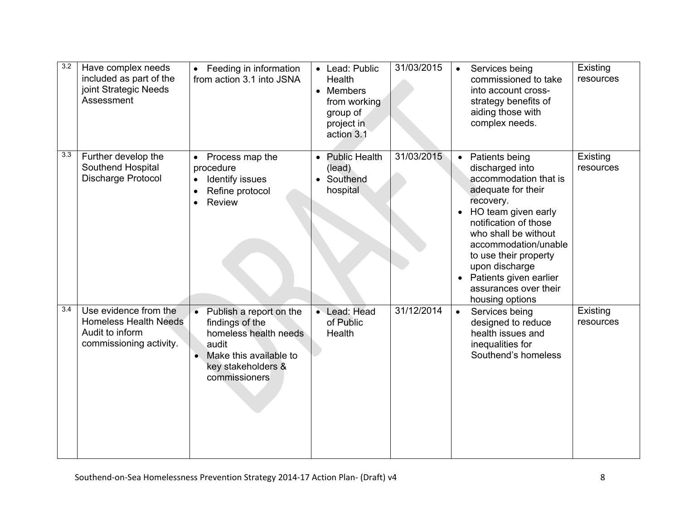| 3.2 | Have complex needs<br>included as part of the<br>joint Strategic Needs<br>Assessment                | • Feeding in information<br>from action 3.1 into JSNA                                                                                                                   | Lead: Public<br>$\bullet$<br><b>Health</b><br>Members<br>$\bullet$<br>from working<br>group of<br>project in<br>action 3.1 | 31/03/2015 | Services being<br>$\bullet$<br>commissioned to take<br>into account cross-<br>strategy benefits of<br>aiding those with<br>complex needs.                                                                                                                                                                                   | Existing<br>resources |
|-----|-----------------------------------------------------------------------------------------------------|-------------------------------------------------------------------------------------------------------------------------------------------------------------------------|----------------------------------------------------------------------------------------------------------------------------|------------|-----------------------------------------------------------------------------------------------------------------------------------------------------------------------------------------------------------------------------------------------------------------------------------------------------------------------------|-----------------------|
| 3.3 | Further develop the<br>Southend Hospital<br>Discharge Protocol                                      | Process map the<br>$\bullet$<br>procedure<br>Identify issues<br>$\bullet$<br>Refine protocol<br><b>Review</b><br>$\bullet$                                              | <b>Public Health</b><br>$\bullet$<br>(lead)<br>Southend<br>$\bullet$<br>hospital                                           | 31/03/2015 | Patients being<br>$\bullet$<br>discharged into<br>accommodation that is<br>adequate for their<br>recovery.<br>HO team given early<br>notification of those<br>who shall be without<br>accommodation/unable<br>to use their property<br>upon discharge<br>Patients given earlier<br>assurances over their<br>housing options | Existing<br>resources |
| 3.4 | Use evidence from the<br><b>Homeless Health Needs</b><br>Audit to inform<br>commissioning activity. | Publish a report on the<br>$\bullet$<br>findings of the<br>homeless health needs<br>audit<br>Make this available to<br>$\bullet$<br>key stakeholders &<br>commissioners | • Lead: Head<br>of Public<br>Health                                                                                        | 31/12/2014 | Services being<br>$\bullet$<br>designed to reduce<br>health issues and<br>inequalities for<br>Southend's homeless                                                                                                                                                                                                           | Existing<br>resources |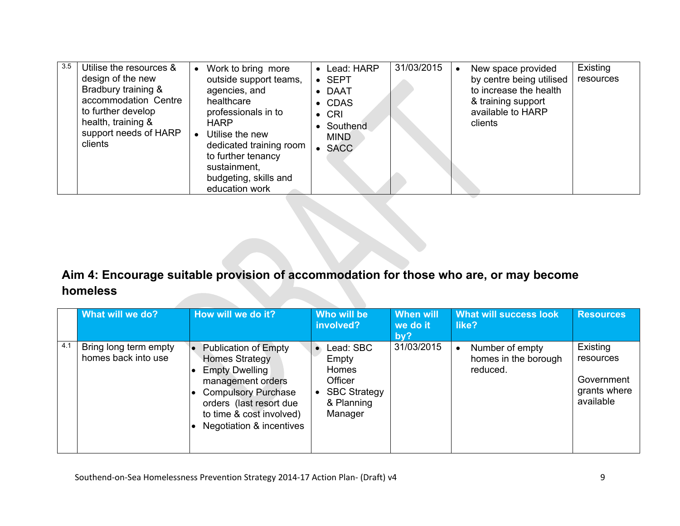| 3.5 | Utilise the resources &<br>design of the new<br>Bradbury training &<br>accommodation Centre<br>to further develop<br>health, training &<br>support needs of HARP<br>clients | Work to bring more<br>outside support teams,<br>agencies, and<br>healthcare<br>professionals in to<br><b>HARP</b><br>Utilise the new<br>dedicated training room<br>to further tenancy<br>sustainment,<br>budgeting, skills and<br>education work | Lead: HARP<br>$\bullet$<br><b>SEPT</b><br>$\bullet$<br>• DAAT<br>• CDAS<br>$\bullet$ CRI<br>Southend<br>$\bullet$<br><b>MIND</b><br><b>SACC</b><br>$\bullet$ | 31/03/2015 | New space provided<br>by centre being utilised<br>to increase the health<br>& training support<br>available to HARP<br>clients | Existing<br>resources |
|-----|-----------------------------------------------------------------------------------------------------------------------------------------------------------------------------|--------------------------------------------------------------------------------------------------------------------------------------------------------------------------------------------------------------------------------------------------|--------------------------------------------------------------------------------------------------------------------------------------------------------------|------------|--------------------------------------------------------------------------------------------------------------------------------|-----------------------|
|-----|-----------------------------------------------------------------------------------------------------------------------------------------------------------------------------|--------------------------------------------------------------------------------------------------------------------------------------------------------------------------------------------------------------------------------------------------|--------------------------------------------------------------------------------------------------------------------------------------------------------------|------------|--------------------------------------------------------------------------------------------------------------------------------|-----------------------|

### **Aim 4: Encourage suitable provision of accommodation for those who are, or may become homeless**

|     | What will we do?                             | How will we do it?                                                                                                                                                                                           | Who will be<br>involved?                                                               | <b>When will</b><br>we do it<br>by? | <b>What will success look</b><br>like?              | <b>Resources</b>                                                 |
|-----|----------------------------------------------|--------------------------------------------------------------------------------------------------------------------------------------------------------------------------------------------------------------|----------------------------------------------------------------------------------------|-------------------------------------|-----------------------------------------------------|------------------------------------------------------------------|
| 4.1 | Bring long term empty<br>homes back into use | <b>Publication of Empty</b><br>Homes Strategy<br><b>Empty Dwelling</b><br>management orders<br><b>Compulsory Purchase</b><br>orders (last resort due<br>to time & cost involved)<br>Negotiation & incentives | Lead: SBC<br>Empty<br>Homes<br>Officer<br><b>SBC Strategy</b><br>& Planning<br>Manager | 31/03/2015                          | Number of empty<br>homes in the borough<br>reduced. | Existing<br>resources<br>Government<br>grants where<br>available |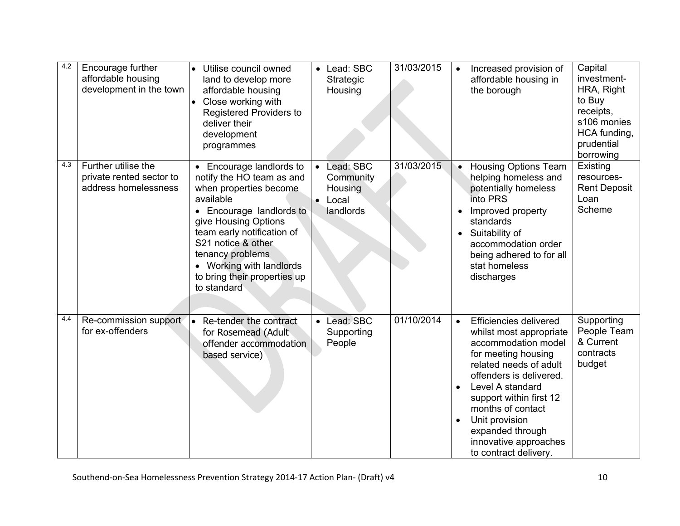| 4.2 | Encourage further<br>affordable housing<br>development in the town      | Utilise council owned<br>$\bullet$<br>land to develop more<br>affordable housing<br>Close working with<br>Registered Providers to<br>deliver their<br>development<br>programmes                                                                                                                     | $\bullet$              | Lead: SBC<br>Strategic<br>Housing                       | 31/03/2015 |                                     | Increased provision of<br>affordable housing in<br>the borough                                                                                                                                                                                                                                                          | Capital<br>investment-<br>HRA, Right<br>to Buy<br>receipts,<br>s106 monies<br>HCA funding,<br>prudential<br>borrowing |
|-----|-------------------------------------------------------------------------|-----------------------------------------------------------------------------------------------------------------------------------------------------------------------------------------------------------------------------------------------------------------------------------------------------|------------------------|---------------------------------------------------------|------------|-------------------------------------|-------------------------------------------------------------------------------------------------------------------------------------------------------------------------------------------------------------------------------------------------------------------------------------------------------------------------|-----------------------------------------------------------------------------------------------------------------------|
| 4.3 | Further utilise the<br>private rented sector to<br>address homelessness | • Encourage landlords to<br>notify the HO team as and<br>when properties become<br>available<br>• Encourage landlords to<br>give Housing Options<br>team early notification of<br>S21 notice & other<br>tenancy problems<br>• Working with landlords<br>to bring their properties up<br>to standard | $\bullet$<br>$\bullet$ | Lead: SBC<br>Community<br>Housing<br>Local<br>landlords | 31/03/2015 | $\bullet$<br>$\bullet$              | <b>Housing Options Team</b><br>helping homeless and<br>potentially homeless<br>into PRS<br>Improved property<br>standards<br>Suitability of<br>accommodation order<br>being adhered to for all<br>stat homeless<br>discharges                                                                                           | Existing<br>resources-<br><b>Rent Deposit</b><br>Loan<br>Scheme                                                       |
| 4.4 | Re-commission support<br>for ex-offenders                               | Re-tender the contract<br>$\bullet$<br>for Rosemead (Adult<br>offender accommodation<br>based service)                                                                                                                                                                                              |                        | • Lead: SBC<br>Supporting<br>People                     | 01/10/2014 | $\bullet$<br>$\bullet$<br>$\bullet$ | <b>Efficiencies delivered</b><br>whilst most appropriate<br>accommodation model<br>for meeting housing<br>related needs of adult<br>offenders is delivered.<br>Level A standard<br>support within first 12<br>months of contact<br>Unit provision<br>expanded through<br>innovative approaches<br>to contract delivery. | Supporting<br>People Team<br>& Current<br>contracts<br>budget                                                         |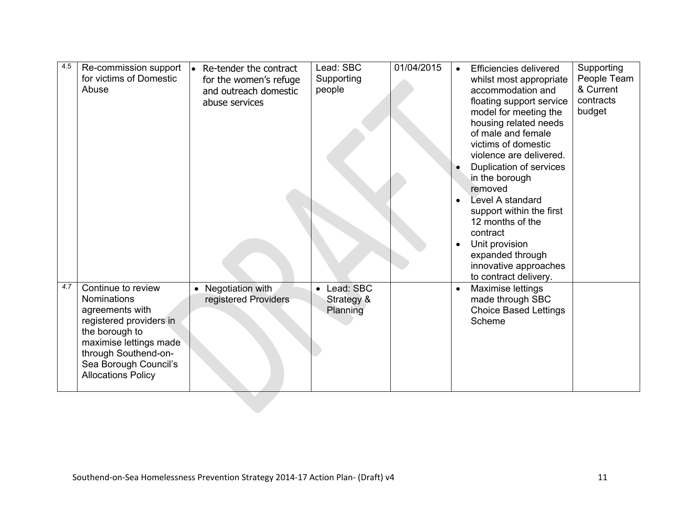| 4.5 | Re-commission support<br>for victims of Domestic<br>Abuse                                                                                                                                                        | Re-tender the contract<br>۱o<br>for the women's refuge<br>and outreach domestic<br>abuse services | Lead: SBC<br>Supporting<br>people   | 01/04/2015 | Supporting<br><b>Efficiencies delivered</b><br>People Team<br>whilst most appropriate<br>& Current<br>accommodation and<br>contracts<br>floating support service<br>budget<br>model for meeting the<br>housing related needs<br>of male and female<br>victims of domestic<br>violence are delivered.<br>Duplication of services<br>in the borough<br>removed<br>Level A standard<br>$\bullet$<br>support within the first<br>12 months of the<br>contract<br>Unit provision<br>$\bullet$<br>expanded through<br>innovative approaches<br>to contract delivery. |
|-----|------------------------------------------------------------------------------------------------------------------------------------------------------------------------------------------------------------------|---------------------------------------------------------------------------------------------------|-------------------------------------|------------|----------------------------------------------------------------------------------------------------------------------------------------------------------------------------------------------------------------------------------------------------------------------------------------------------------------------------------------------------------------------------------------------------------------------------------------------------------------------------------------------------------------------------------------------------------------|
| 4.7 | Continue to review<br><b>Nominations</b><br>agreements with<br>registered providers in<br>the borough to<br>maximise lettings made<br>through Southend-on-<br>Sea Borough Council's<br><b>Allocations Policy</b> | • Negotiation with<br>registered Providers                                                        | Lead: SBC<br>Strategy &<br>Planning |            | Maximise lettings<br>$\bullet$<br>made through SBC<br><b>Choice Based Lettings</b><br>Scheme                                                                                                                                                                                                                                                                                                                                                                                                                                                                   |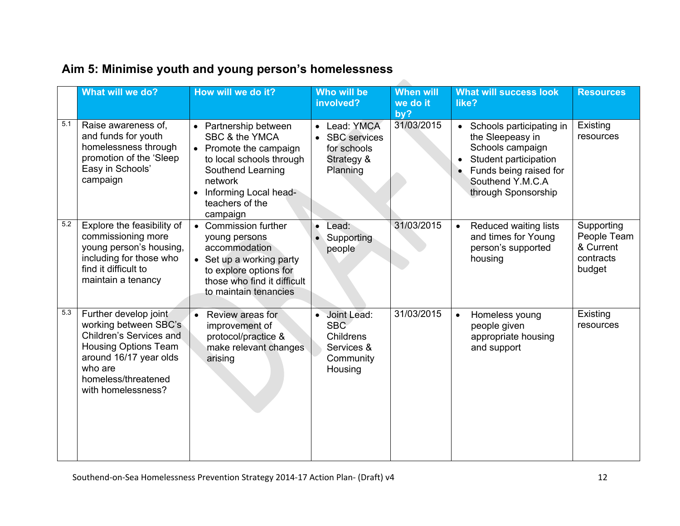|     | What will we do?                                                                                                                                                                           | How will we do it?                                                                                                                                                                  | Who will be<br>involved?                                                                             | <b>When will</b><br>we do it<br>by? | <b>What will success look</b><br>like?                                                                                                                                      | <b>Resources</b>                                              |
|-----|--------------------------------------------------------------------------------------------------------------------------------------------------------------------------------------------|-------------------------------------------------------------------------------------------------------------------------------------------------------------------------------------|------------------------------------------------------------------------------------------------------|-------------------------------------|-----------------------------------------------------------------------------------------------------------------------------------------------------------------------------|---------------------------------------------------------------|
| 5.1 | Raise awareness of,<br>and funds for youth<br>homelessness through<br>promotion of the 'Sleep<br>Easy in Schools'<br>campaign                                                              | Partnership between<br>SBC & the YMCA<br>• Promote the campaign<br>to local schools through<br>Southend Learning<br>network<br>Informing Local head-<br>teachers of the<br>campaign | Lead: YMCA<br>$\bullet$<br><b>SBC</b> services<br>$\bullet$<br>for schools<br>Strategy &<br>Planning | 31/03/2015                          | Schools participating in<br>$\bullet$<br>the Sleepeasy in<br>Schools campaign<br>Student participation<br>Funds being raised for<br>Southend Y.M.C.A<br>through Sponsorship | Existing<br>resources                                         |
| 5.2 | Explore the feasibility of<br>commissioning more<br>young person's housing,<br>including for those who<br>find it difficult to<br>maintain a tenancy                                       | • Commission further<br>young persons<br>accommodation<br>• Set up a working party<br>to explore options for<br>those who find it difficult<br>to maintain tenancies                | Lead:<br>$\bullet$<br>Supporting<br>people                                                           | 31/03/2015                          | Reduced waiting lists<br>$\bullet$<br>and times for Young<br>person's supported<br>housing                                                                                  | Supporting<br>People Team<br>& Current<br>contracts<br>budget |
| 5.3 | Further develop joint<br>working between SBC's<br>Children's Services and<br><b>Housing Options Team</b><br>around 16/17 year olds<br>who are<br>homeless/threatened<br>with homelessness? | Review areas for<br>$\bullet$<br>improvement of<br>protocol/practice &<br>make relevant changes<br>arising                                                                          | Joint Lead:<br>$\bullet$<br><b>SBC</b><br>Childrens<br>Services &<br>Community<br>Housing            | 31/03/2015                          | Homeless young<br>$\bullet$<br>people given<br>appropriate housing<br>and support                                                                                           | Existing<br>resources                                         |

 $\sim$ 

## **Aim 5: Minimise youth and young person's homelessness**